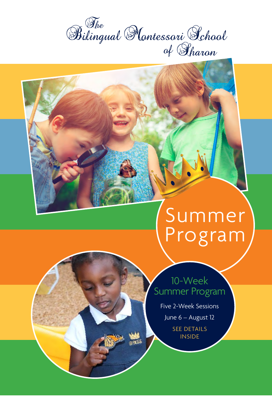

# Summer Program

### 10-Week Summer Program

Five 2-Week Sessions

June 6 – August 12

SEE DETAILS INSIDE

**ROTES**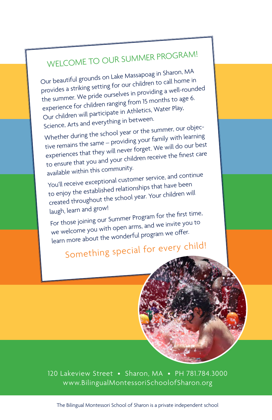## WELCOME TO OUR SUMMER PROGRAM!

Our beautiful grounds on Lake Massapoag in Sharon, MA provides a striking setting for our children to call home in the summer. We pride ourselves in providing a well-rounded experience for children ranging from 15 months to age 6. Our children will participate in Athletics, Water Play, Science, Arts and everything in between.

Whether during the school year or the summer, our objective remains the same – providing your family with learning experiences that they will never forget. We will do our best to ensure that you and your children receive the finest care available within this community.

You'll receive exceptional customer service, and continue to enjoy the established relationships that have been created throughout the school year. Your children will laugh, learn and grow!

For those joining our Summer Program for the first time, we welcome you with open arms, and we invite you to learn more about the wonderful program we offer.

## Something special for every child!

120 Lakeview Street • Sharon, MA • PH 781.784.3000 www.BilingualMontessoriSchoolofSharon.org

The Bilingual Montessori School of Sharon is a private independent school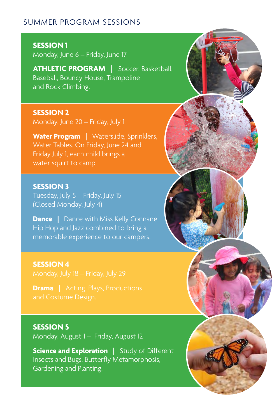#### SUMMER PROGRAM SESSIONS

**SESSION 1**  Monday, June 6 – Friday, June 17

**ATHLETIC PROGRAM |** Soccer, Basketball, Baseball, Bouncy House, Trampoline and Rock Climbing.

**SESSION 2**  Monday, June 20 – Friday, July 1

Water Program | Waterslide, Sprinklers, Water Tables. On Friday, June 24 and Friday July 1, each child brings a water squirt to camp.

**SESSION 3**  Tuesday, July 5 – Friday, July 15 (Closed Monday, July 4)

**Dance** | Dance with Miss Kelly Connane. Hip Hop and Jazz combined to bring a memorable experience to our campers.

**SESSION 4** 

**SESSION 5** 

Monday, August 1 – Friday, August 12

**Science and Exploration | Study of Different** Insects and Bugs. Butterfly Metamorphosis, Gardening and Planting.

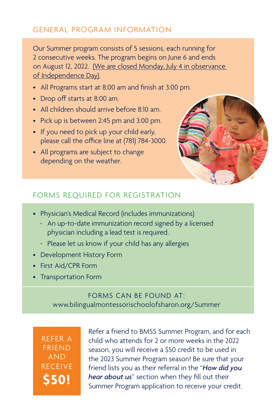#### GENERAL PROGRAM INFORMATION

Our Summer program consists of 5 sessions, each running for 2 consecutive weeks. The program begins on June 6 and ends on August 12, 2022. (We are closed Monday, July 4 in observance of Independence Day).

- All Programs start at 8:00 am and finish at 3:00 pm.
- Drop off starts at 8:00 am.
- All children should arrive before 8:10 am.
- Pick up is between 2:45 pm and 3:00 pm.
- If you need to pick up your child early, please call the office line at (781) 784-3000.
- All programs are subject to change depending on the weather.



#### FORMS REQUIRED FOR REGISTRATION

- Physician's Medical Record (includes immunizations)
	- An up-to-date immunization record signed by a licensed physician including a lead test is required.
	- Please let us know if your child has any allergies
- Development History Form
- First Aid/CPR Form
- Transportation Form

#### FORMS CAN BE FOUND AT: www.bilingualmontessorischoolofsharon.org/Summer

REFER A FRIEND AND RECEIVE **\$50!**

Refer a friend to BMSS Summer Program, and for each child who attends for 2 or more weeks in the 2022 season, you will receive a \$50 credit to be used in the 2023 Summer Program season! Be sure that your friend lists you as their referral in the "*How did you hear about us*" section when they fill out their Summer Program application to receive your credit.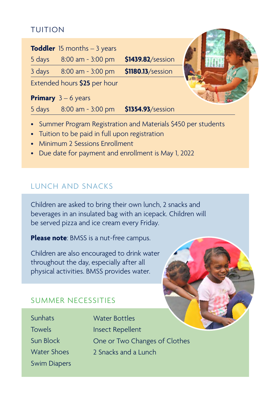#### TUITION

| <b>Toddler</b> 15 months $-3$ years |                   |  |
|-------------------------------------|-------------------|--|
| 8:00 am - 3:00 pm<br>5 days         | \$1439.82/session |  |
| 3 days<br>8:00 am - 3:00 pm         | \$1180.13/session |  |
| Extended hours \$25 per hour        |                   |  |
| <b>Primary</b> $3 - 6$ years        |                   |  |
| 8:00 am - 3:00 pm<br>5 days         | \$1354.93/session |  |

- Summer Program Registration and Materials \$450 per students
- Tuition to be paid in full upon registration
- Minimum 2 Sessions Enrollment
- Due date for payment and enrollment is May 1, 2022

#### LUNCH AND SNACKS

Children are asked to bring their own lunch, 2 snacks and beverages in an insulated bag with an icepack. Children will be served pizza and ice cream every Friday.

**Please note**: BMSS is a nut-free campus.

Children are also encouraged to drink water throughout the day, especially after all physical activities. BMSS provides water.

#### SUMMER NECESSITIES

**Sunhats** Towels Sun Block Water Shoes Swim Diapers

Water Bottles Insect Repellent One or Two Changes of Clothes 2 Snacks and a Lunch